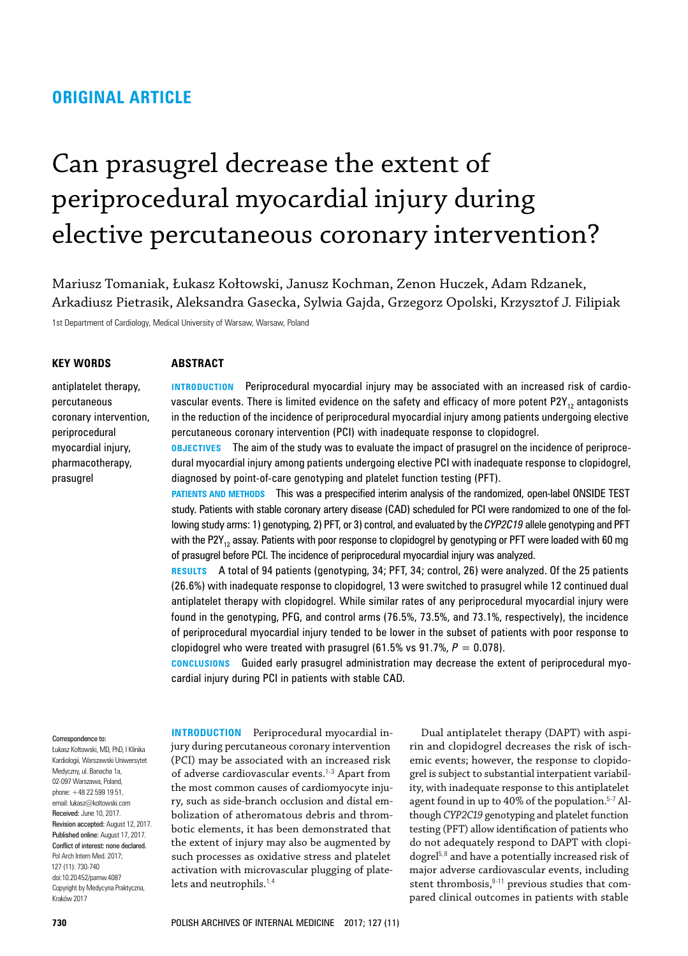# **ORIGINAL ARTICLE**

# Can prasugrel decrease the extent of periprocedural myocardial injury during elective percutaneous coronary intervention?

Mariusz Tomaniak, Łukasz Kołtowski, Janusz Kochman, Zenon Huczek, Adam Rdzanek, Arkadiusz Pietrasik, Aleksandra Gasecka, Sylwia Gajda, Grzegorz Opolski, Krzysztof J. Filipiak

1st Department of Cardiology, Medical University of Warsaw, Warsaw, Poland

## **Key words**

## **Abstract**

antiplatelet therapy, percutaneous coronary intervention, periprocedural myocardial injury, pharmacotherapy, prasugrel

**INTRODUCTION** Periprocedural myocardial injury may be associated with an increased risk of cardiovascular events. There is limited evidence on the safety and efficacy of more potent P2Y<sub>12</sub> antagonists in the reduction of the incidence of periprocedural myocardial injury among patients undergoing elective percutaneous coronary intervention (PCI) with inadequate response to clopidogrel.

**OBJECTIVES** The aim of the study was to evaluate the impact of prasugrel on the incidence of periprocedural myocardial injury among patients undergoing elective PCI with inadequate response to clopidogrel, diagnosed by point‑of‑care genotyping and platelet function testing (PFT).

**PATIENTS AND METHODS** This was a prespecified interim analysis of the randomized, open-label ONSIDE TEST study. Patients with stable coronary artery disease (CAD) scheduled for PCI were randomized to one of the following study arms: 1) genotyping, 2) PFT, or 3) control, and evaluated by the *CYP2C19* allele genotyping and PFT with the P2Y<sub>12</sub> assay. Patients with poor response to clopidogrel by genotyping or PFT were loaded with 60 mg of prasugrel before PCI. The incidence of periprocedural myocardial injury was analyzed.

**Results** A total of 94 patients (genotyping, 34; PFT, 34; control, 26) were analyzed. Of the 25 patients (26.6%) with inadequate response to clopidogrel, 13 were switched to prasugrel while 12 continued dual antiplatelet therapy with clopidogrel. While similar rates of any periprocedural myocardial injury were found in the genotyping, PFG, and control arms (76.5%, 73.5%, and 73.1%, respectively), the incidence of periprocedural myocardial injury tended to be lower in the subset of patients with poor response to clopidogrel who were treated with prasugrel  $(61.5\% \text{ vs } 91.7\%, P = 0.078)$ .

**Conclusions** Guided early prasugrel administration may decrease the extent of periprocedural myo‑ cardial injury during PCI in patients with stable CAD.

#### Correspondence to:

Łukasz Kołtowski, MD, PhD, I Klinika Kardiologii, Warszawski Uniwersytet Medyczny, ul. Banacha 1a, 02-097 Warszawa, Poland, phone: +48 22 599 19 51, email: lukasz@koltowski.com Received: June 10, 2017. Revision accepted: August 12, 2017. Published online: August 17, 2017. Conflict of interest: none declared. Pol Arch Intern Med. 2017; 127 (11): 730‑740 doi:10.20452/pamw.4087 Copyright by Medycyna Praktyczna, Kraków 2017

**INTRODUCTION** Periprocedural myocardial injury during percutaneous coronary intervention (PCI) may be associated with an increased risk of adverse cardiovascular events.<sup>1-3</sup> Apart from the most common causes of cardiomyocyte injury, such as side-branch occlusion and distal embolization of atheromatous debris and thrombotic elements, it has been demonstrated that the extent of injury may also be augmented by such processes as oxidative stress and platelet activation with microvascular plugging of platelets and neutrophils.<sup>1,4</sup>

Dual antiplatelet therapy (DAPT) with aspirin and clopidogrel decreases the risk of ischemic events; however, the response to clopidogrel is subject to substantial interpatient variability, with inadequate response to this antiplatelet agent found in up to 40% of the population.<sup>5-7</sup> Although *CYP2C19* genotyping and platelet function testing (PFT) allow identification of patients who do not adequately respond to DAPT with clopidogrel5,8 and have a potentially increased risk of major adverse cardiovascular events, including stent thrombosis, 9-11 previous studies that compared clinical outcomes in patients with stable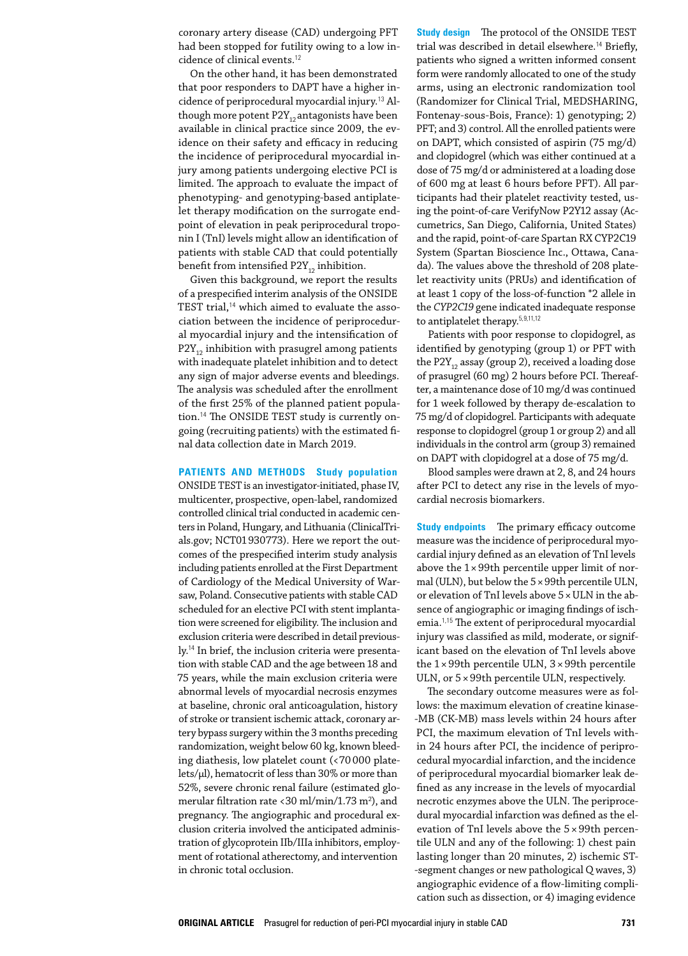coronary artery disease (CAD) undergoing PFT had been stopped for futility owing to a low incidence of clinical events.<sup>12</sup>

On the other hand, it has been demonstrated that poor responders to DAPT have a higher incidence of periprocedural myocardial injury.<sup>13</sup> Although more potent  $P2Y_{12}$  antagonists have been available in clinical practice since 2009, the evidence on their safety and efficacy in reducing the incidence of periprocedural myocardial injury among patients undergoing elective PCI is limited. The approach to evaluate the impact of phenotyping- and genotyping-based antiplatelet therapy modification on the surrogate endpoint of elevation in peak periprocedural troponin I (TnI) levels might allow an identification of patients with stable CAD that could potentially benefit from intensified  $P2Y_{12}$  inhibition.

Given this background, we report the results of a prespecified interim analysis of the ONSIDE TEST trial,<sup>14</sup> which aimed to evaluate the association between the incidence of periprocedural myocardial injury and the intensification of  $P2Y_{12}$  inhibition with prasugrel among patients with inadequate platelet inhibition and to detect any sign of major adverse events and bleedings. The analysis was scheduled after the enrollment of the first 25% of the planned patient popula‑ tion.<sup>14</sup> The ONSIDE TEST study is currently ongoing (recruiting patients) with the estimated final data collection date in March 2019.

# **Patients and methods Study population**

ONSIDE TEST is an investigator‑initiated, phase IV, multicenter, prospective, open‑label, randomized controlled clinical trial conducted in academic cen‑ ters in Poland, Hungary, and Lithuania (ClinicalTrials.gov; NCT01930773). Here we report the outcomes of the prespecified interim study analysis including patients enrolled at the First Department of Cardiology of the Medical University of Warsaw, Poland. Consecutive patients with stable CAD scheduled for an elective PCI with stent implantation were screened for eligibility. The inclusion and exclusion criteria were described in detail previously.<sup>14</sup> In brief, the inclusion criteria were presentation with stable CAD and the age between 18 and 75 years, while the main exclusion criteria were abnormal levels of myocardial necrosis enzymes at baseline, chronic oral anticoagulation, history of stroke or transient ischemic attack, coronary artery bypass surgery within the 3 months preceding randomization, weight below 60 kg, known bleeding diathesis, low platelet count (<70000 platelets/µl), hematocrit of less than 30% or more than 52%, severe chronic renal failure (estimated glomerular filtration rate <30 ml/min/1.73 m2), and pregnancy. The angiographic and procedural exclusion criteria involved the anticipated administration of glycoprotein IIb/IIIa inhibitors, employment of rotational atherectomy, and intervention in chronic total occlusion.

**Study design** The protocol of the ONSIDE TEST trial was described in detail elsewhere.<sup>14</sup> Briefly, patients who signed a written informed consent form were randomly allocated to one of the study arms, using an electronic randomization tool (Randomizer for Clinical Trial, MEDSHARING, Fontenay‑sous‑Bois, France): 1) genotyping; 2) PFT; and 3) control. All the enrolled patients were on DAPT, which consisted of aspirin (75 mg/d) and clopidogrel (which was either continued at a dose of 75 mg/d or administered at a loading dose of 600 mg at least 6 hours before PFT). All par‑ ticipants had their platelet reactivity tested, us‑ ing the point-of-care VerifyNow P2Y12 assay (Accumetrics, San Diego, California, United States) and the rapid, point-of-care Spartan RX CYP2C19 System (Spartan Bioscience Inc., Ottawa, Canada). The values above the threshold of 208 platelet reactivity units (PRUs) and identification of at least 1 copy of the loss‑of‑function \*2 allele in the *CYP2C19* gene indicated inadequate response to antiplatelet therapy.5,9,11,12

Patients with poor response to clopidogrel, as identified by genotyping (group 1) or PFT with the P2 $Y_{12}$  assay (group 2), received a loading dose of prasugrel (60 mg) 2 hours before PCI. Thereafter, a maintenance dose of 10 mg/d was continued for 1 week followed by therapy de‑escalation to 75 mg/d of clopidogrel. Participants with adequate response to clopidogrel (group 1 or group 2) and all individuals in the control arm (group 3) remained on DAPT with clopidogrel at a dose of 75 mg/d.

Blood samples were drawn at 2, 8, and 24 hours after PCI to detect any rise in the levels of myocardial necrosis biomarkers.

**Study endpoints** The primary efficacy outcome measure was the incidence of periprocedural myocardial injury defined as an elevation of TnI levels above the  $1 \times 99$ th percentile upper limit of normal (ULN), but below the 5×99th percentile ULN, or elevation of TnI levels above  $5 \times ULN$  in the absence of angiographic or imaging findings of ischemia.1,15 The extent of periprocedural myocardial injury was classified as mild, moderate, or significant based on the elevation of TnI levels above the  $1 \times 99$ th percentile ULN,  $3 \times 99$ th percentile ULN, or 5×99th percentile ULN, respectively.

The secondary outcome measures were as follows: the maximum elevation of creatine kinase-‑MB (CK‑MB) mass levels within 24 hours after PCI, the maximum elevation of TnI levels within 24 hours after PCI, the incidence of periprocedural myocardial infarction, and the incidence of periprocedural myocardial biomarker leak de‑ fined as any increase in the levels of myocardial necrotic enzymes above the ULN. The periprocedural myocardial infarction was defined as the elevation of TnI levels above the  $5 \times 99$ th percentile ULN and any of the following: 1) chest pain lasting longer than 20 minutes, 2) ischemic ST‑ ‑segment changes or new pathological Q waves, 3) angiographic evidence of a flow-limiting complication such as dissection, or 4) imaging evidence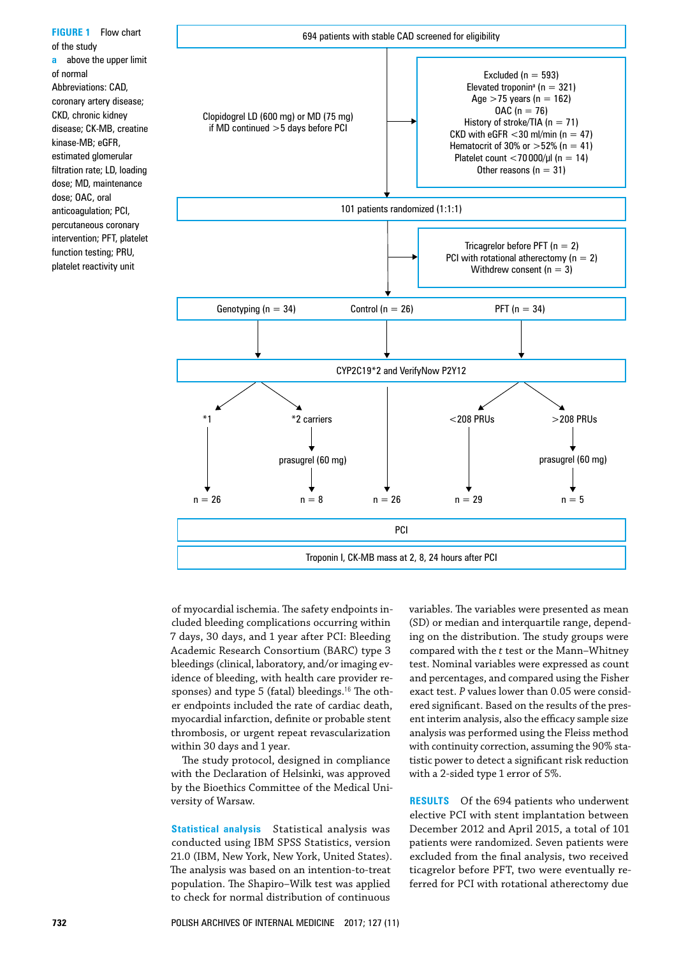**FIGURE 1** Flow chart of the study **a** above the upper limit of normal Abbreviations: CAD, coronary artery disease; CKD, chronic kidney disease; CK-MB, creatine kinase-MB; eGFR, estimated glomerular filtration rate; LD, loading dose; MD, maintenance dose; OAC, oral anticoagulation; PCI, percutaneous coronary intervention; PFT, platelet function testing; PRU, platelet reactivity unit



of myocardial ischemia. The safety endpoints in‑ cluded bleeding complications occurring within 7 days, 30 days, and 1 year after PCI: Bleeding Academic Research Consortium (BARC) type 3 bleedings (clinical, laboratory, and/or imaging evidence of bleeding, with health care provider responses) and type 5 (fatal) bleedings.<sup>16</sup> The other endpoints included the rate of cardiac death, myocardial infarction, definite or probable stent thrombosis, or urgent repeat revascularization within 30 days and 1 year.

The study protocol, designed in compliance with the Declaration of Helsinki, was approved by the Bioethics Committee of the Medical University of Warsaw.

**Statistical analysis** Statistical analysis was conducted using IBM SPSS Statistics, version 21.0 (IBM, New York, New York, United States). The analysis was based on an intention-to-treat population. The Shapiro–Wilk test was applied to check for normal distribution of continuous variables. The variables were presented as mean (SD) or median and interquartile range, depending on the distribution. The study groups were compared with the *t* test or the Mann–Whitney test. Nominal variables were expressed as count and percentages, and compared using the Fisher exact test. *P* values lower than 0.05 were considered significant. Based on the results of the present interim analysis, also the efficacy sample size analysis was performed using the Fleiss method with continuity correction, assuming the 90% statistic power to detect a significant risk reduction with a 2‑sided type 1 error of 5%.

**Results** Of the 694 patients who underwent elective PCI with stent implantation between December 2012 and April 2015, a total of 101 patients were randomized. Seven patients were excluded from the final analysis, two received ticagrelor before PFT, two were eventually re‑ ferred for PCI with rotational atherectomy due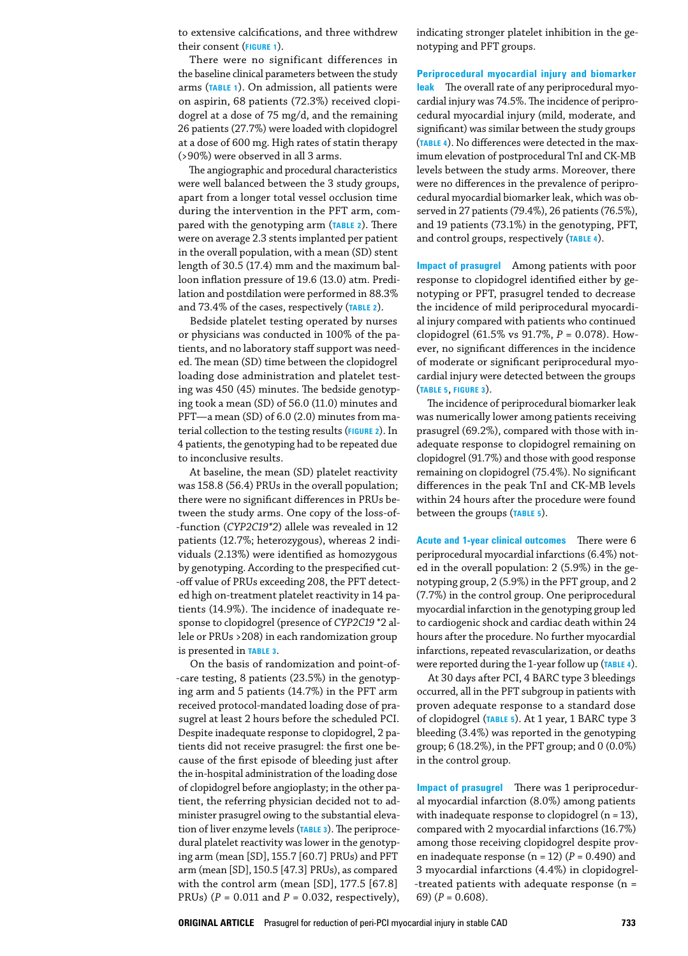to extensive calcifications, and three withdrew their consent (**Figure 1**).

There were no significant differences in the baseline clinical parameters between the study arms (**Table 1**). On admission, all patients were on aspirin, 68 patients (72.3%) received clopidogrel at a dose of 75 mg/d, and the remaining 26 patients (27.7%) were loaded with clopidogrel at a dose of 600 mg. High rates of statin therapy (>90%) were observed in all 3 arms.

The angiographic and procedural characteristics were well balanced between the 3 study groups, apart from a longer total vessel occlusion time during the intervention in the PFT arm, compared with the genotyping arm (**Table 2**). There were on average 2.3 stents implanted per patient in the overall population, with a mean (SD) stent length of 30.5 (17.4) mm and the maximum balloon inflation pressure of 19.6 (13.0) atm. Predilation and postdilation were performed in 88.3% and 73.4% of the cases, respectively (**Table 2**).

Bedside platelet testing operated by nurses or physicians was conducted in 100% of the patients, and no laboratory staff support was needed. The mean (SD) time between the clopidogrel loading dose administration and platelet testing was 450 (45) minutes. The bedside genotyping took a mean (SD) of 56.0 (11.0) minutes and PFT-a mean (SD) of 6.0 (2.0) minutes from material collection to the testing results (**Figure 2**). In 4 patients, the genotyping had to be repeated due to inconclusive results.

At baseline, the mean (SD) platelet reactivity was 158.8 (56.4) PRUs in the overall population; there were no significant differences in PRUs be‑ tween the study arms. One copy of the loss-of-‑function (*CYP2C19\*2*) allele was revealed in 12 patients (12.7%; heterozygous), whereas 2 individuals (2.13%) were identified as homozygous by genotyping. According to the prespecified cut--off value of PRUs exceeding 208, the PFT detected high on-treatment platelet reactivity in 14 patients (14.9%). The incidence of inadequate re‑ sponse to clopidogrel (presence of *CYP2C19* \*2 al‑ lele or PRUs >208) in each randomization group is presented in **Table 3**.

On the basis of randomization and point-of-‑care testing, 8 patients (23.5%) in the genotyp‑ ing arm and 5 patients (14.7%) in the PFT arm received protocol-mandated loading dose of prasugrel at least 2 hours before the scheduled PCI. Despite inadequate response to clopidogrel, 2 pa‑ tients did not receive prasugrel: the first one be‑ cause of the first episode of bleeding just after the in‑hospital administration of the loading dose of clopidogrel before angioplasty; in the other pa‑ tient, the referring physician decided not to administer prasugrel owing to the substantial elevation of liver enzyme levels (**Table 3**). The periproce‑ dural platelet reactivity was lower in the genotyping arm (mean [SD], 155.7 [60.7] PRUs) and PFT arm (mean [SD], 150.5 [47.3] PRUs), as compared with the control arm (mean [SD], 177.5 [67.8] PRUs) (*P* = 0.011 and *P* = 0.032, respectively),

indicating stronger platelet inhibition in the genotyping and PFT groups.

**Periprocedural myocardial injury and biomarker**  leak The overall rate of any periprocedural myocardial injury was 74.5%. The incidence of periprocedural myocardial injury (mild, moderate, and significant) was similar between the study groups (**Table 4**). No differences were detected in the max‑ imum elevation of postprocedural TnI and CK‑MB levels between the study arms. Moreover, there were no differences in the prevalence of periprocedural myocardial biomarker leak, which was observed in 27 patients (79.4%), 26 patients (76.5%), and 19 patients (73.1%) in the genotyping, PFT, and control groups, respectively (**Table 4**).

**Impact of prasugrel** Among patients with poor response to clopidogrel identified either by genotyping or PFT, prasugrel tended to decrease the incidence of mild periprocedural myocardial injury compared with patients who continued clopidogrel (61.5% vs 91.7%, *P* = 0.078). How‑ ever, no significant differences in the incidence of moderate or significant periprocedural myocardial injury were detected between the groups (**Table 5**, **Figure 3**).

The incidence of periprocedural biomarker leak was numerically lower among patients receiving prasugrel (69.2%), compared with those with inadequate response to clopidogrel remaining on clopidogrel (91.7%) and those with good response remaining on clopidogrel (75.4%). No significant differences in the peak TnI and CK‑MB levels within 24 hours after the procedure were found between the groups (**Table 5**).

**Acute and 1‑year clinical outcomes** There were 6 periprocedural myocardial infarctions (6.4%) not‑ ed in the overall population: 2 (5.9%) in the ge‑ notyping group, 2 (5.9%) in the PFT group, and 2 (7.7%) in the control group. One periprocedural myocardial infarction in the genotyping group led to cardiogenic shock and cardiac death within 24 hours after the procedure. No further myocardial infarctions, repeated revascularization, or deaths were reported during the 1‑year follow up (**Table 4**).

At 30 days after PCI, 4 BARC type 3 bleedings occurred, all in the PFT subgroup in patients with proven adequate response to a standard dose of clopidogrel (**Table 5**). At 1 year, 1 BARC type 3 bleeding (3.4%) was reported in the genotyping group; 6 (18.2%), in the PFT group; and 0 (0.0%) in the control group.

**Impact of prasugrel** There was 1 periprocedur‑ al myocardial infarction (8.0%) among patients with inadequate response to clopidogrel (n = 13), compared with 2 myocardial infarctions (16.7%) among those receiving clopidogrel despite proven inadequate response ( $n = 12$ ) ( $P = 0.490$ ) and 3 myocardial infarctions (4.4%) in clopidogrel‑ ‑treated patients with adequate response (n = 69)  $(P = 0.608)$ .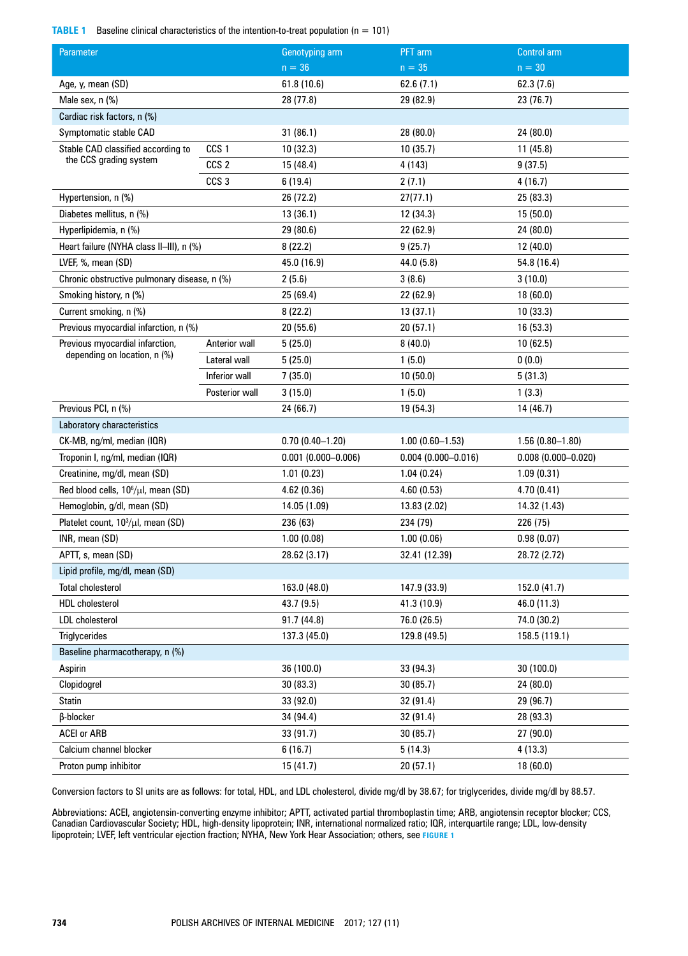# **TABLE 1** Baseline clinical characteristics of the intention-to-treat population (n = 101)

| Parameter                                              |                      | Genotyping arm        | PFT arm                | <b>Control arm</b>     |
|--------------------------------------------------------|----------------------|-----------------------|------------------------|------------------------|
|                                                        |                      | $n = 36$              | $n = 35$               | $n = 30$               |
| Age, y, mean (SD)                                      |                      | 61.8 (10.6)           | 62.6(7.1)              | 62.3 (7.6)             |
| Male sex, n (%)                                        |                      | 28 (77.8)             | 29 (82.9)              | 23 (76.7)              |
| Cardiac risk factors, n (%)                            |                      |                       |                        |                        |
| Symptomatic stable CAD                                 |                      | 31(86.1)              | 28 (80.0)              | 24 (80.0)              |
| CCS <sub>1</sub><br>Stable CAD classified according to |                      | 10(32.3)              | 10(35.7)               | 11(45.8)               |
| the CCS grading system                                 | CCS <sub>2</sub>     | 15 (48.4)             | 4 (143)                | 9(37.5)                |
|                                                        | CCS <sub>3</sub>     | 6(19.4)               | 2(7.1)                 | 4(16.7)                |
| Hypertension, n (%)                                    |                      | 26 (72.2)             | 27(77.1)               | 25 (83.3)              |
| Diabetes mellitus, n (%)                               |                      | 13(36.1)              | 12 (34.3)              | 15(50.0)               |
| Hyperlipidemia, n (%)                                  |                      | 29 (80.6)             | 22 (62.9)              | 24 (80.0)              |
| Heart failure (NYHA class II-III), n (%)               |                      | 8(22.2)               | 9(25.7)                | 12(40.0)               |
| LVEF, %, mean (SD)                                     |                      | 45.0 (16.9)           | 44.0 (5.8)             | 54.8 (16.4)            |
| Chronic obstructive pulmonary disease, n (%)           |                      | 2(5.6)                | 3(8.6)                 | 3(10.0)                |
| Smoking history, n (%)                                 |                      | 25(69.4)              | 22 (62.9)              | 18(60.0)               |
| Current smoking, n (%)                                 |                      | 8(22.2)               | 13(37.1)               | 10(33.3)               |
| Previous myocardial infarction, n (%)                  |                      | 20(55.6)              | 20(57.1)               | 16 (53.3)              |
| Previous myocardial infarction,                        | <b>Anterior wall</b> | 5(25.0)               | 8(40.0)                | 10(62.5)               |
| depending on location, n (%)                           | Lateral wall         | 5(25.0)               | 1(5.0)                 | 0(0.0)                 |
|                                                        | Inferior wall        | 7(35.0)               | 10 (50.0)              | 5(31.3)                |
|                                                        | Posterior wall       | 3(15.0)               | 1(5.0)                 | 1(3.3)                 |
| Previous PCI, n (%)                                    |                      | 24 (66.7)             | 19 (54.3)              | 14 (46.7)              |
| Laboratory characteristics                             |                      |                       |                        |                        |
| CK-MB, ng/ml, median (IQR)                             |                      | $0.70(0.40 - 1.20)$   | $1.00(0.60 - 1.53)$    | $1.56(0.80 - 1.80)$    |
| Troponin I, ng/ml, median (IQR)                        |                      | $0.001$ (0.000-0.006) | $0.004(0.000 - 0.016)$ | $0.008(0.000 - 0.020)$ |
| Creatinine, mg/dl, mean (SD)                           |                      | 1.01(0.23)            | 1.04(0.24)             | 1.09(0.31)             |
| Red blood cells, 10 <sup>6</sup> /µl, mean (SD)        |                      | 4.62(0.36)            | 4.60(0.53)             | 4.70(0.41)             |
| Hemoglobin, g/dl, mean (SD)                            |                      | 14.05 (1.09)          | 13.83 (2.02)           | 14.32 (1.43)           |
| Platelet count, 10 <sup>3</sup> /µl, mean (SD)         |                      | 236 (63)              | 234 (79)               | 226 (75)               |
| INR, mean (SD)                                         |                      | 1.00(0.08)            | 1.00(0.06)             | 0.98(0.07)             |
| APTT, s, mean (SD)                                     |                      | 28.62 (3.17)          | 32.41 (12.39)          | 28.72 (2.72)           |
| Lipid profile, mg/dl, mean (SD)                        |                      |                       |                        |                        |
| <b>Total cholesterol</b>                               |                      | 163.0 (48.0)          | 147.9 (33.9)           | 152.0 (41.7)           |
| <b>HDL</b> cholesterol                                 |                      | 43.7(9.5)             | 41.3 (10.9)            | 46.0 (11.3)            |
| <b>LDL</b> cholesterol                                 |                      | 91.7 (44.8)           | 76.0 (26.5)            | 74.0 (30.2)            |
| Triglycerides                                          |                      | 137.3 (45.0)          | 129.8 (49.5)           | 158.5 (119.1)          |
| Baseline pharmacotherapy, n (%)                        |                      |                       |                        |                        |
| Aspirin                                                |                      | 36 (100.0)            | 33 (94.3)              | 30 (100.0)             |
| Clopidogrel                                            |                      | 30(83.3)              | 30 (85.7)              | 24 (80.0)              |
| <b>Statin</b>                                          |                      | 33 (92.0)             | 32 (91.4)              | 29 (96.7)              |
| β-blocker                                              |                      | 34 (94.4)             | 32 (91.4)              | 28 (93.3)              |
| <b>ACEI or ARB</b>                                     |                      | 33 (91.7)             | 30 (85.7)              | 27 (90.0)              |
| Calcium channel blocker                                |                      | 6(16.7)               | 5(14.3)                | 4(13.3)                |
| Proton pump inhibitor                                  |                      | 15(41.7)              | 20 (57.1)              | 18 (60.0)              |

Conversion factors to SI units are as follows: for total, HDL, and LDL cholesterol, divide mg/dl by 38.67; for triglycerides, divide mg/dl by 88.57.

Abbreviations: ACEI, angiotensin‑converting enzyme inhibitor; APTT, activated partial thromboplastin time; ARB, angiotensin receptor blocker; CCS, Canadian Cardiovascular Society; HDL, high-density lipoprotein; INR, international normalized ratio; IQR, interquartile range; LDL, low-density lipoprotein; LVEF, left ventricular ejection fraction; NYHA, New York Hear Association; others, see **Figure 1**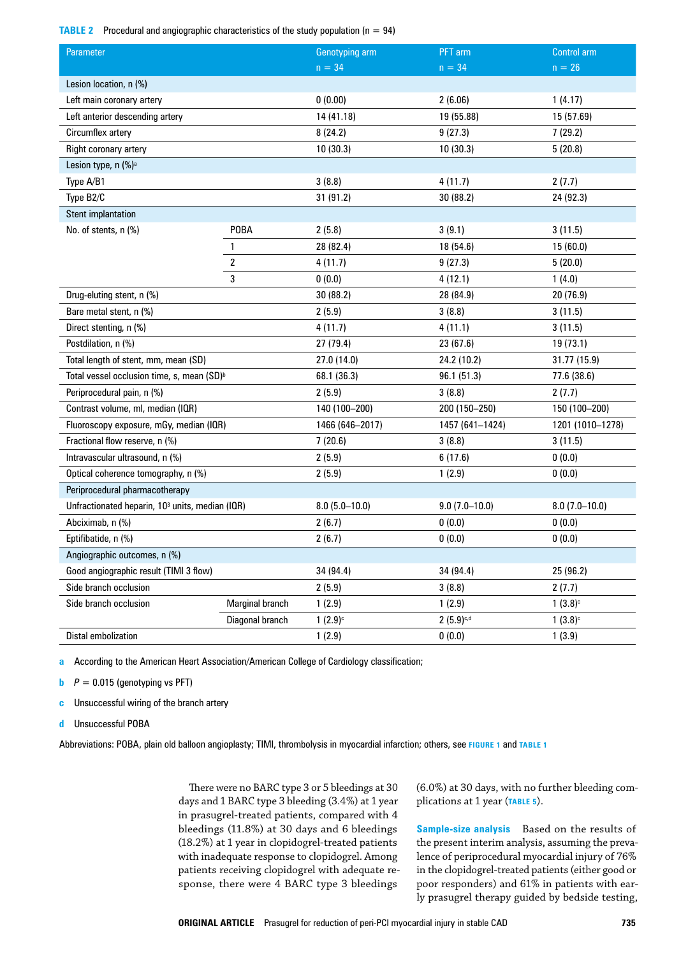**TABLE 2** Procedural and angiographic characteristics of the study population ( $n = 94$ )

| <b>Parameter</b>                                            |                        | Genotyping arm        | PFT arm         | Control arm      |  |
|-------------------------------------------------------------|------------------------|-----------------------|-----------------|------------------|--|
|                                                             |                        | $n = 34$              | $n = 34$        | $n = 26$         |  |
| Lesion location, n (%)                                      |                        |                       |                 |                  |  |
| Left main coronary artery                                   |                        | 0(0.00)               | 2(6.06)         | 1(4.17)          |  |
| Left anterior descending artery                             |                        | 14 (41.18)            | 19 (55.88)      | 15 (57.69)       |  |
| Circumflex artery                                           |                        | 8(24.2)               | 9(27.3)         | 7(29.2)          |  |
| Right coronary artery                                       |                        | 10(30.3)              | 10(30.3)        | 5(20.8)          |  |
| Lesion type, n (%) <sup>a</sup>                             |                        |                       |                 |                  |  |
| Type A/B1                                                   |                        | 3(8.8)                | 4(11.7)         | 2(7.7)           |  |
| Type B2/C                                                   |                        | 31 (91.2)             | 30(88.2)        | 24 (92.3)        |  |
| <b>Stent implantation</b>                                   |                        |                       |                 |                  |  |
| No. of stents, n (%)                                        | <b>POBA</b>            | 2(5.8)                | 3(9.1)          | 3(11.5)          |  |
|                                                             | 1                      | 28 (82.4)             | 18 (54.6)       | 15 (60.0)        |  |
|                                                             | $\overline{2}$         | 4(11.7)               | 9(27.3)         | 5(20.0)          |  |
|                                                             | 3                      | 0(0.0)                | 4 (12.1)        | 1(4.0)           |  |
| Drug-eluting stent, n (%)                                   |                        | 30 (88.2)             | 28 (84.9)       | 20 (76.9)        |  |
| Bare metal stent, n (%)                                     |                        | 2(5.9)                | 3(8.8)          | 3(11.5)          |  |
| Direct stenting, n (%)                                      |                        | 4(11.7)               | 4(11.1)         | 3(11.5)          |  |
| Postdilation, n (%)                                         |                        | 27 (79.4)             | 23 (67.6)       | 19 (73.1)        |  |
| Total length of stent, mm, mean (SD)                        |                        | 27.0 (14.0)           | 24.2 (10.2)     | 31.77 (15.9)     |  |
| Total vessel occlusion time, s, mean (SD) <sup>b</sup>      |                        | 68.1 (36.3)           | 96.1 (51.3)     | 77.6 (38.6)      |  |
| Periprocedural pain, n (%)                                  |                        | 2(5.9)                | 3(8.8)          | 2(7.7)           |  |
| Contrast volume, ml, median (IQR)                           |                        | 140 (100-200)         | 200 (150-250)   | 150 (100-200)    |  |
| Fluoroscopy exposure, mGy, median (IQR)                     |                        | 1466 (646-2017)       | 1457 (641-1424) | 1201 (1010-1278) |  |
| Fractional flow reserve, n (%)                              |                        | 7(20.6)               | 3(8.8)          | 3(11.5)          |  |
| Intravascular ultrasound, n (%)                             |                        | 2(5.9)                | 6(17.6)         | 0(0.0)           |  |
| Optical coherence tomography, n (%)                         |                        | 2(5.9)                | 1(2.9)          | 0(0.0)           |  |
| Periprocedural pharmacotherapy                              |                        |                       |                 |                  |  |
| Unfractionated heparin, 10 <sup>3</sup> units, median (IQR) |                        | $8.0(5.0-10.0)$       | $9.0(7.0-10.0)$ | $8.0(7.0-10.0)$  |  |
| Abciximab, n (%)                                            |                        | 2(6.7)                | 0(0.0)          | 0(0.0)           |  |
| Eptifibatide, n (%)                                         |                        | 2(6.7)                | 0(0.0)          | 0(0.0)           |  |
| Angiographic outcomes, n (%)                                |                        |                       |                 |                  |  |
| Good angiographic result (TIMI 3 flow)                      |                        | 34 (94.4)             | 34 (94.4)       | 25 (96.2)        |  |
| Side branch occlusion                                       |                        | 2(5.9)                | 3(8.8)          | 2(7.7)           |  |
| Side branch occlusion                                       | <b>Marginal branch</b> | 1(2.9)                | 1(2.9)          | $1(3.8)^c$       |  |
|                                                             | Diagonal branch        | $1(2.9)$ <sup>c</sup> | $2(5.9)^{c,d}$  | $1(3.8)^c$       |  |
| Distal embolization                                         |                        | 1(2.9)                | 0(0.0)          | 1(3.9)           |  |

**a** According to the American Heart Association/American College of Cardiology classification;

**b**  $P = 0.015$  (genotyping vs PFT)

**c** Unsuccessful wiring of the branch artery

**d** Unsuccessful POBA

Abbreviations: POBA, plain old balloon angioplasty; TIMI, thrombolysis in myocardial infarction; others, see **Figure 1** and **TABLE 1**

There were no BARC type 3 or 5 bleedings at 30 days and 1 BARC type 3 bleeding (3.4%) at 1 year in prasugrel-treated patients, compared with 4 bleedings (11.8%) at 30 days and 6 bleedings (18.2%) at 1 year in clopidogrel-treated patients with inadequate response to clopidogrel. Among patients receiving clopidogrel with adequate response, there were 4 BARC type 3 bleedings

(6.0%) at 30 days, with no further bleeding com‑ plications at 1 year (**Table 5**).

**Sample‑size analysis** Based on the results of the present interim analysis, assuming the prevalence of periprocedural myocardial injury of 76% in the clopidogrel-treated patients (either good or poor responders) and 61% in patients with early prasugrel therapy guided by bedside testing,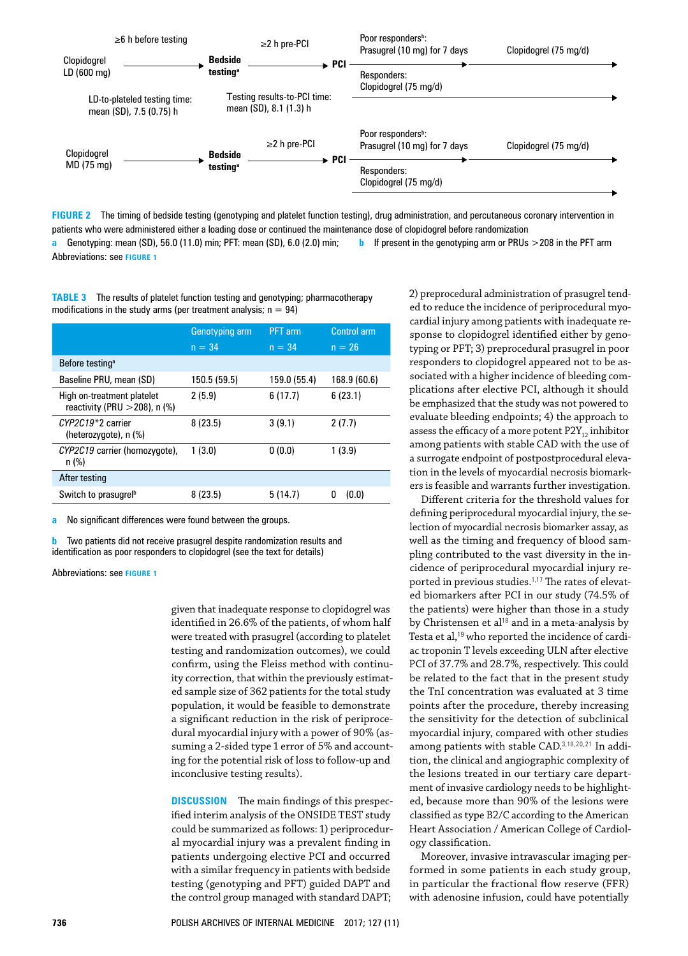

**FIGURE 2** The timing of bedside testing (genotyping and platelet function testing), drug administration, and percutaneous coronary intervention in patients who were administered either a loading dose or continued the maintenance dose of clopidogrel before randomization

**a** Genotyping: mean (SD), 56.0 (11.0) min; PFT: mean (SD), 6.0 (2.0) min; **b** If present in the genotyping arm or PRUs >208 in the PFT arm Abbreviations: see **Figure 1**

**TABLE 3** The results of platelet function testing and genotyping; pharmacotherapy modifications in the study arms (per treatment analysis;  $n = 94$ )

|                                                                             | Genotyping arm | <b>PFT</b> arm | Control arm  |  |
|-----------------------------------------------------------------------------|----------------|----------------|--------------|--|
|                                                                             | $n = 34$       | $n = 34$       | $n = 26$     |  |
| Before testing <sup>a</sup>                                                 |                |                |              |  |
| Baseline PRU, mean (SD)                                                     | 150.5 (59.5)   | 159.0 (55.4)   | 168.9 (60.6) |  |
| High on-treatment platelet<br>reactivity (PRU $>$ 208), n (%)               | 2(5.9)         | 6(17.7)        | 6(23.1)      |  |
| $\mathcal{C}$ <i>YP2C19</i> <sup>*</sup> 2 carrier<br>(heterozygote), n (%) | 8(23.5)        | 3(9.1)         | 2(7.7)       |  |
| CYP2C19 carrier (homozygote),<br>$n$ (%)                                    | 1(3.0)         | 0(0.0)         | 1(3.9)       |  |
| After testing                                                               |                |                |              |  |
| Switch to prasugrel <sup>b</sup>                                            | 8(23.5)        | 5(14.7)        | (0.0)<br>n   |  |

**a** No significant differences were found between the groups.

**b** Two patients did not receive prasugrel despite randomization results and identification as poor responders to clopidogrel (see the text for details)

Abbreviations: see **figure 1**

given that inadequate response to clopidogrel was identified in 26.6% of the patients, of whom half were treated with prasugrel (according to platelet testing and randomization outcomes), we could confirm, using the Fleiss method with continuity correction, that within the previously estimated sample size of 362 patients for the total study population, it would be feasible to demonstrate a significant reduction in the risk of periprocedural myocardial injury with a power of 90% (as‑ suming a 2-sided type 1 error of 5% and accounting for the potential risk of loss to follow‑up and inconclusive testing results).

**DISCUSSION** The main findings of this prespecified interim analysis of the ONSIDE TEST study could be summarized as follows: 1) periprocedural myocardial injury was a prevalent finding in patients undergoing elective PCI and occurred with a similar frequency in patients with bedside testing (genotyping and PFT) guided DAPT and the control group managed with standard DAPT;

2) preprocedural administration of prasugrel tended to reduce the incidence of periprocedural myocardial injury among patients with inadequate re‑ sponse to clopidogrel identified either by genotyping or PFT; 3) preprocedural prasugrel in poor responders to clopidogrel appeared not to be as‑ sociated with a higher incidence of bleeding complications after elective PCI, although it should be emphasized that the study was not powered to evaluate bleeding endpoints; 4) the approach to assess the efficacy of a more potent  $P2Y_{12}$  inhibitor among patients with stable CAD with the use of a surrogate endpoint of postpostprocedural elevation in the levels of myocardial necrosis biomarkers is feasible and warrants further investigation.

Different criteria for the threshold values for defining periprocedural myocardial injury, the selection of myocardial necrosis biomarker assay, as well as the timing and frequency of blood sampling contributed to the vast diversity in the incidence of periprocedural myocardial injury re‑ ported in previous studies.<sup>1,17</sup> The rates of elevated biomarkers after PCI in our study (74.5% of the patients) were higher than those in a study by Christensen et al<sup>18</sup> and in a meta-analysis by Testa et al,<sup>19</sup> who reported the incidence of cardiac troponin T levels exceeding ULN after elective PCI of 37.7% and 28.7%, respectively. This could be related to the fact that in the present study the TnI concentration was evaluated at 3 time points after the procedure, thereby increasing the sensitivity for the detection of subclinical myocardial injury, compared with other studies among patients with stable CAD.<sup>3,18,20,21</sup> In addition, the clinical and angiographic complexity of the lesions treated in our tertiary care department of invasive cardiology needs to be highlighted, because more than 90% of the lesions were classified as type B2/C according to the American Heart Association / American College of Cardiology classification.

Moreover, invasive intravascular imaging performed in some patients in each study group, in particular the fractional flow reserve (FFR) with adenosine infusion, could have potentially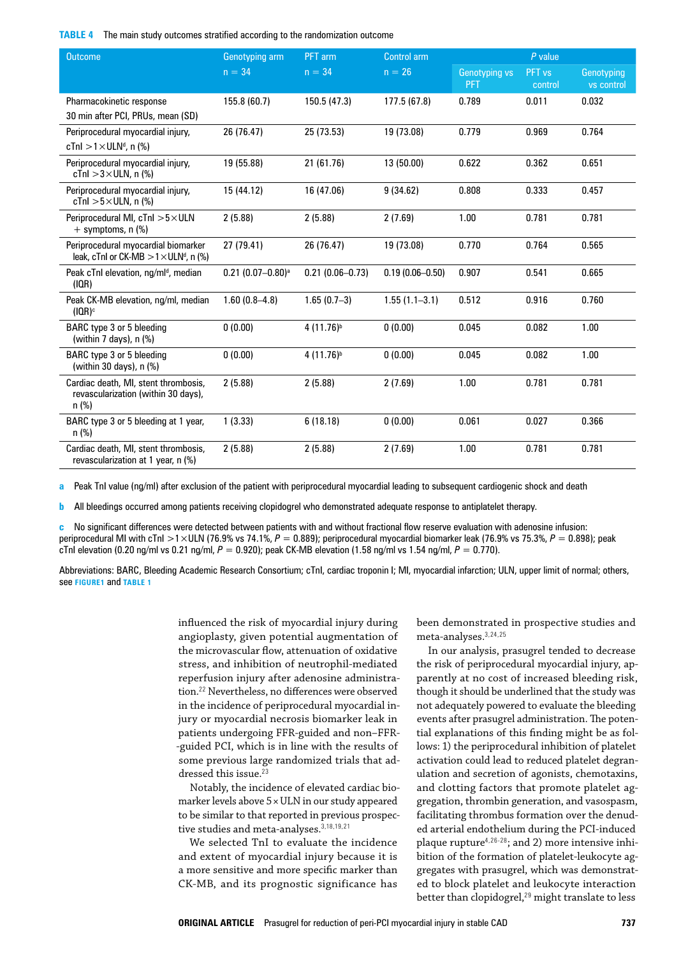**TABLE 4** The main study outcomes stratified according to the randomization outcome

| <b>Outcome</b>                                                                                 | Genotyping arm                  | PFT arm<br><b>Control arm</b> |                     |                                    | $P$ value                    |                          |  |
|------------------------------------------------------------------------------------------------|---------------------------------|-------------------------------|---------------------|------------------------------------|------------------------------|--------------------------|--|
|                                                                                                | $n = 34$                        | $n = 34$                      | $n = 26$            | <b>Genotyping vs</b><br><b>PFT</b> | PFT <sub>vs</sub><br>control | Genotyping<br>vs control |  |
| Pharmacokinetic response<br>30 min after PCI, PRUs, mean (SD)                                  | 155.8 (60.7)                    | 150.5 (47.3)                  | 177.5(67.8)         | 0.789                              | 0.011                        | 0.032                    |  |
| Periprocedural myocardial injury,<br>$cTnI > 1 \times ULN^{d}$ , n (%)                         | 26 (76.47)                      | 25 (73.53)                    | 19 (73.08)          | 0.779                              | 0.969                        | 0.764                    |  |
| Periprocedural myocardial injury,<br>cTnl $>3\times$ ULN, n (%)                                | 19 (55.88)                      | 21 (61.76)                    | 13 (50.00)          | 0.622                              | 0.362                        | 0.651                    |  |
| Periprocedural myocardial injury,<br>cTnl $>5\times$ ULN, n (%)                                | 15 (44.12)                      | 16 (47.06)                    | 9(34.62)            | 0.808                              | 0.333                        | 0.457                    |  |
| Periprocedural MI, $cTnl > 5 \times ULN$<br>$+$ symptoms, n $(\%)$                             | 2(5.88)                         | 2(5.88)                       | 2(7.69)             | 1.00                               | 0.781                        | 0.781                    |  |
| Periprocedural myocardial biomarker<br>leak, cTnl or CK-MB $>1\times$ ULN <sup>d</sup> , n (%) | 27 (79.41)                      | 26 (76.47)                    | 19 (73.08)          | 0.770                              | 0.764                        | 0.565                    |  |
| Peak cTnl elevation, ng/ml <sup>d</sup> , median<br>(IOR)                                      | $0.21$ (0.07-0.80) <sup>a</sup> | $0.21(0.06 - 0.73)$           | $0.19(0.06 - 0.50)$ | 0.907                              | 0.541                        | 0.665                    |  |
| Peak CK-MB elevation, ng/ml, median<br>(IOR) <sub>c</sub>                                      | $1.60(0.8 - 4.8)$               | $1.65(0.7-3)$                 | $1.55(1.1-3.1)$     | 0.512                              | 0.916                        | 0.760                    |  |
| BARC type 3 or 5 bleeding<br>(within 7 days), n (%)                                            | 0(0.00)                         | $4(11.76)^{b}$                | 0(0.00)             | 0.045                              | 0.082                        | 1.00                     |  |
| BARC type 3 or 5 bleeding<br>(within 30 days), n (%)                                           | 0(0.00)                         | $4(11.76)^{b}$                | 0(0.00)             | 0.045                              | 0.082                        | 1.00                     |  |
| Cardiac death, MI, stent thrombosis,<br>revascularization (within 30 days),<br>$n$ (%)         | 2(5.88)                         | 2(5.88)                       | 2(7.69)             | 1.00                               | 0.781                        | 0.781                    |  |
| BARC type 3 or 5 bleeding at 1 year,<br>$n$ (%)                                                | 1(3.33)                         | 6(18.18)                      | 0(0.00)             | 0.061                              | 0.027                        | 0.366                    |  |
| Cardiac death, MI, stent thrombosis,<br>revascularization at 1 year, n (%)                     | 2(5.88)                         | 2(5.88)                       | 2(7.69)             | 1.00                               | 0.781                        | 0.781                    |  |

**a** Peak TnI value (ng/ml) after exclusion of the patient with periprocedural myocardial leading to subsequent cardiogenic shock and death

**b** All bleedings occurred among patients receiving clopidogrel who demonstrated adequate response to antiplatelet therapy.

**c** No significant differences were detected between patients with and without fractional flow reserve evaluation with adenosine infusion: periprocedural MI with cTnI >1×ULN (76.9% vs 74.1%, *P* = 0.889); periprocedural myocardial biomarker leak (76.9% vs 75.3%, *P* = 0.898); peak cTnI elevation (0.20 ng/ml vs 0.21 ng/ml, *P* = 0.920); peak CK‑MB elevation (1.58 ng/ml vs 1.54 ng/ml, *P* = 0.770).

Abbreviations: BARC, Bleeding Academic Research Consortium; cTnI, cardiac troponin I; MI, myocardial infarction; ULN, upper limit of normal; others, see **figure1** and **TABLE 1**

> influenced the risk of myocardial injury during angioplasty, given potential augmentation of the microvascular flow, attenuation of oxidative stress, and inhibition of neutrophil‑mediated reperfusion injury after adenosine administration.<sup>22</sup> Nevertheless, no differences were observed in the incidence of periprocedural myocardial injury or myocardial necrosis biomarker leak in patients undergoing FFR‑guided and non–FFR‑ ‑guided PCI, which is in line with the results of some previous large randomized trials that addressed this issue.<sup>23</sup>

> Notably, the incidence of elevated cardiac biomarker levels above 5×ULN in our study appeared to be similar to that reported in previous prospective studies and meta-analyses.<sup>3,18,19,21</sup>

We selected TnI to evaluate the incidence and extent of myocardial injury because it is a more sensitive and more specific marker than CK‑MB, and its prognostic significance has

been demonstrated in prospective studies and meta‑analyses.3,24,25

In our analysis, prasugrel tended to decrease the risk of periprocedural myocardial injury, apparently at no cost of increased bleeding risk, though it should be underlined that the study was not adequately powered to evaluate the bleeding events after prasugrel administration. The potential explanations of this finding might be as fol‑ lows: 1) the periprocedural inhibition of platelet activation could lead to reduced platelet degranulation and secretion of agonists, chemotaxins, and clotting factors that promote platelet aggregation, thrombin generation, and vasospasm, facilitating thrombus formation over the denuded arterial endothelium during the PCI-induced plaque rupture<sup>4,26-28</sup>; and 2) more intensive inhibition of the formation of platelet-leukocyte aggregates with prasugrel, which was demonstrated to block platelet and leukocyte interaction better than clopidogrel,<sup>29</sup> might translate to less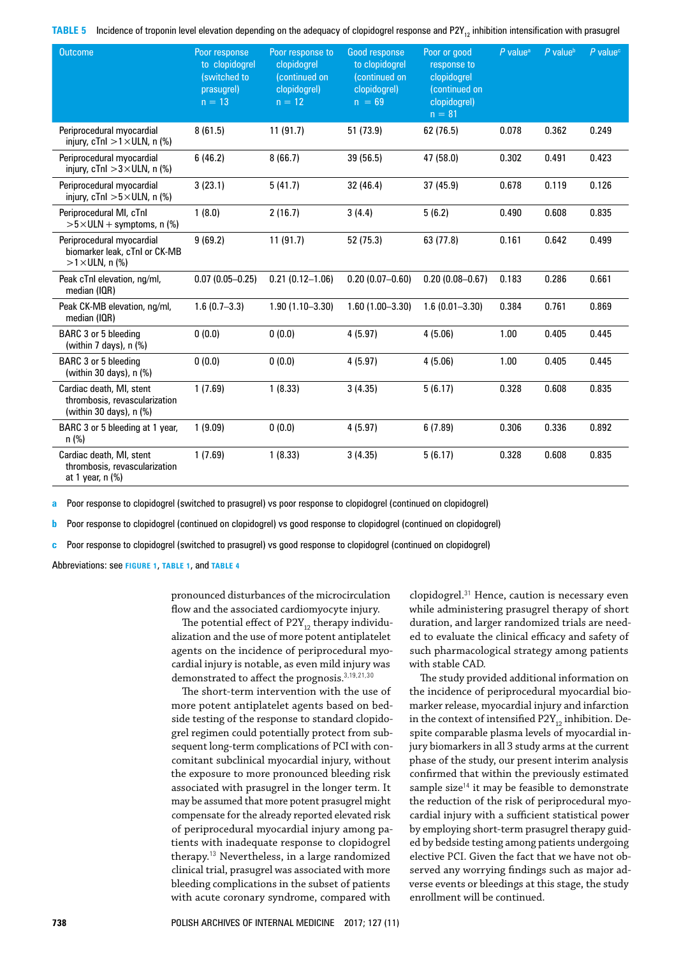**TABLE** 5 Incidence of troponin level elevation depending on the adequacy of clopidogrel response and P2Y<sub>12</sub> inhibition intensification with prasugrel

| <b>Outcome</b>                                                                         | Poor response<br>to clopidogrel<br>(switched to<br>prasugrel)<br>$n = 13$ | Poor response to<br>clopidogrel<br>(continued on<br>clopidogrel)<br>$n = 12$ | Good response<br>to clopidogrel<br>(continued on<br>clopidogrel)<br>$n = 69$ | Poor or good<br>response to<br>clopidogrel<br>(continued on<br>clopidogrel)<br>$n = 81$ | $P$ value <sup>a</sup> | $P$ value <sup>b</sup> | $P$ value $c$ |
|----------------------------------------------------------------------------------------|---------------------------------------------------------------------------|------------------------------------------------------------------------------|------------------------------------------------------------------------------|-----------------------------------------------------------------------------------------|------------------------|------------------------|---------------|
| Periprocedural myocardial<br>injury, $cTnl > 1 \times ULN$ , n (%)                     | 8(61.5)                                                                   | 11(91.7)                                                                     | 51 (73.9)                                                                    | 62 (76.5)                                                                               | 0.078                  | 0.362                  | 0.249         |
| Periprocedural myocardial<br>injury, $cTnl > 3 \times ULN$ , n (%)                     | 6(46.2)                                                                   | 8(66.7)                                                                      | 39 (56.5)                                                                    | 47 (58.0)                                                                               | 0.302                  | 0.491                  | 0.423         |
| Periprocedural myocardial<br>injury, $cTnl > 5 \times ULN$ , n (%)                     | 3(23.1)                                                                   | 5(41.7)                                                                      | 32 (46.4)                                                                    | 37 (45.9)                                                                               | 0.678                  | 0.119                  | 0.126         |
| Periprocedural MI, cTnl<br>$>5\times$ ULN + symptoms, n (%)                            | 1(8.0)                                                                    | 2(16.7)                                                                      | 3(4.4)                                                                       | 5(6.2)                                                                                  | 0.490                  | 0.608                  | 0.835         |
| Periprocedural myocardial<br>biomarker leak, cTnl or CK-MB<br>$>1\times$ ULN, n (%)    | 9(69.2)                                                                   | 11(91.7)                                                                     | 52 (75.3)                                                                    | 63 (77.8)                                                                               | 0.161                  | 0.642                  | 0.499         |
| Peak cTnl elevation, ng/ml,<br>median (IQR)                                            | $0.07(0.05 - 0.25)$                                                       | $0.21(0.12 - 1.06)$                                                          | $0.20(0.07 - 0.60)$                                                          | $0.20(0.08 - 0.67)$                                                                     | 0.183                  | 0.286                  | 0.661         |
| Peak CK-MB elevation, ng/ml,<br>median (IQR)                                           | $1.6(0.7 - 3.3)$                                                          | $1.90(1.10 - 3.30)$                                                          | $1.60(1.00 - 3.30)$                                                          | $1.6(0.01 - 3.30)$                                                                      | 0.384                  | 0.761                  | 0.869         |
| BARC 3 or 5 bleeding<br>(within 7 days), $n$ $%$                                       | 0(0.0)                                                                    | 0(0.0)                                                                       | 4(5.97)                                                                      | 4(5.06)                                                                                 | 1.00                   | 0.405                  | 0.445         |
| BARC 3 or 5 bleeding<br>(within 30 days), n (%)                                        | 0(0.0)                                                                    | 0(0.0)                                                                       | 4(5.97)                                                                      | 4(5.06)                                                                                 | 1.00                   | 0.405                  | 0.445         |
| Cardiac death, MI, stent<br>thrombosis, revascularization<br>(within 30 days), $n$ (%) | 1(7.69)                                                                   | 1(8.33)                                                                      | 3(4.35)                                                                      | 5(6.17)                                                                                 | 0.328                  | 0.608                  | 0.835         |
| BARC 3 or 5 bleeding at 1 year,<br>n (%)                                               | 1(9.09)                                                                   | 0(0.0)                                                                       | 4(5.97)                                                                      | 6(7.89)                                                                                 | 0.306                  | 0.336                  | 0.892         |
| Cardiac death, MI, stent<br>thrombosis, revascularization<br>at 1 year, n (%)          | 1(7.69)                                                                   | 1(8.33)                                                                      | 3(4.35)                                                                      | 5(6.17)                                                                                 | 0.328                  | 0.608                  | 0.835         |

**a** Poor response to clopidogrel (switched to prasugrel) vs poor response to clopidogrel (continued on clopidogrel)

**b** Poor response to clopidogrel (continued on clopidogrel) vs good response to clopidogrel (continued on clopidogrel)

**c** Poor response to clopidogrel (switched to prasugrel) vs good response to clopidogrel (continued on clopidogrel)

Abbreviations: see **figure 1**, **tABLE 1**, and **table 4**

pronounced disturbances of the microcirculation flow and the associated cardiomyocyte injury.

The potential effect of  $P2Y_{12}$  therapy individualization and the use of more potent antiplatelet agents on the incidence of periprocedural myocardial injury is notable, as even mild injury was demonstrated to affect the prognosis.3,19,21,30

The short-term intervention with the use of more potent antiplatelet agents based on bedside testing of the response to standard clopidogrel regimen could potentially protect from subsequent long-term complications of PCI with concomitant subclinical myocardial injury, without the exposure to more pronounced bleeding risk associated with prasugrel in the longer term. It may be assumed that more potent prasugrel might compensate for the already reported elevated risk of periprocedural myocardial injury among pa‑ tients with inadequate response to clopidogrel therapy.<sup>13</sup> Nevertheless, in a large randomized clinical trial, prasugrel was associated with more bleeding complications in the subset of patients with acute coronary syndrome, compared with

clopidogrel.<sup>31</sup> Hence, caution is necessary even while administering prasugrel therapy of short duration, and larger randomized trials are needed to evaluate the clinical efficacy and safety of such pharmacological strategy among patients with stable CAD.

The study provided additional information on the incidence of periprocedural myocardial biomarker release, myocardial injury and infarction in the context of intensified  $P2Y_{12}$  inhibition. Despite comparable plasma levels of myocardial injury biomarkers in all 3 study arms at the current phase of the study, our present interim analysis confirmed that within the previously estimated sample size<sup>14</sup> it may be feasible to demonstrate the reduction of the risk of periprocedural myocardial injury with a sufficient statistical power by employing short-term prasugrel therapy guided by bedside testing among patients undergoing elective PCI. Given the fact that we have not observed any worrying findings such as major adverse events or bleedings at this stage, the study enrollment will be continued.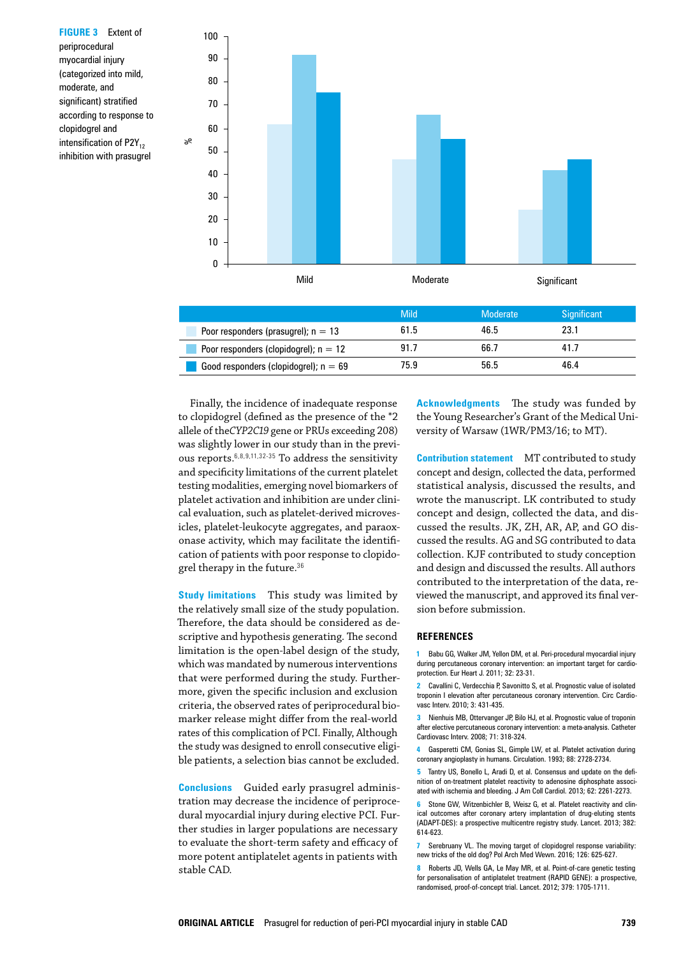**FIGURE 3** Extent of periprocedural myocardial injury (categorized into mild, moderate, and significant) stratified according to response to clopidogrel and intensification of  $P2Y_{12}$ inhibition with prasugrel



Finally, the incidence of inadequate response to clopidogrel (defined as the presence of the \*2 allele of the*CYP2C19* gene or PRUs exceeding 208) was slightly lower in our study than in the previous reports.6,8,9,11,32-35 To address the sensitivity and specificity limitations of the current platelet testing modalities, emerging novel biomarkers of platelet activation and inhibition are under clinical evaluation, such as platelet-derived microvesicles, platelet-leukocyte aggregates, and paraoxonase activity, which may facilitate the identification of patients with poor response to clopidogrel therapy in the future.<sup>36</sup>

**Study limitations** This study was limited by the relatively small size of the study population. Therefore, the data should be considered as descriptive and hypothesis generating. The second limitation is the open-label design of the study, which was mandated by numerous interventions that were performed during the study. Furthermore, given the specific inclusion and exclusion criteria, the observed rates of periprocedural biomarker release might differ from the real‑world rates of this complication of PCI. Finally, Although the study was designed to enroll consecutive eligible patients, a selection bias cannot be excluded.

**Conclusions** Guided early prasugrel adminis‑ tration may decrease the incidence of periprocedural myocardial injury during elective PCI. Further studies in larger populations are necessary to evaluate the short‑term safety and efficacy of more potent antiplatelet agents in patients with stable CAD.

**Acknowledgments** The study was funded by the Young Researcher's Grant of the Medical University of Warsaw (1WR/PM3/16; to MT).

**Contribution statement** MT contributed to study concept and design, collected the data, performed statistical analysis, discussed the results, and wrote the manuscript. LK contributed to study concept and design, collected the data, and dis‑ cussed the results. JK, ZH, AR, AP, and GO discussed the results. AG and SG contributed to data collection. KJF contributed to study conception and design and discussed the results. All authors contributed to the interpretation of the data, reviewed the manuscript, and approved its final version before submission.

#### **References**

**1** Babu GG, Walker JM, Yellon DM, et al. Peri‑procedural myocardial injury during percutaneous coronary intervention: an important target for cardioprotection. Eur Heart J. 2011; 32: 23-31.

**2** Cavallini C, Verdecchia P, Savonitto S, et al. Prognostic value of isolated troponin I elevation after percutaneous coronary intervention. Circ Cardio‑ vasc Interv. 2010; 3: 431-435.

**3** Nienhuis MB, Ottervanger JP, Bilo HJ, et al. Prognostic value of troponin after elective percutaneous coronary intervention: a meta‑analysis. Catheter Cardiovasc Interv. 2008; 71: 318-324.

**4** Gasperetti CM, Gonias SL, Gimple LW, et al. Platelet activation during coronary angioplasty in humans. Circulation. 1993; 88: 2728-2734.

Tantry US, Bonello L, Aradi D, et al. Consensus and update on the definition of on-treatment platelet reactivity to adenosine diphosphate associated with ischemia and bleeding. J Am Coll Cardiol. 2013; 62: 2261-2273.

**6** Stone GW, Witzenbichler B, Weisz G, et al. Platelet reactivity and clinical outcomes after coronary artery implantation of drug-eluting stents (ADAPT-DES): a prospective multicentre registry study. Lancet. 2013; 382: 614-623.

**7** Serebruany VL. The moving target of clopidogrel response variability: new tricks of the old dog? Pol Arch Med Wewn. 2016; 126: 625-627.

**8** Roberts JD, Wells GA, Le May MR, et al. Point-of-care genetic testing for personalisation of antiplatelet treatment (RAPID GENE): a prospective, randomised, proof-of-concept trial. Lancet. 2012; 379: 1705-1711.